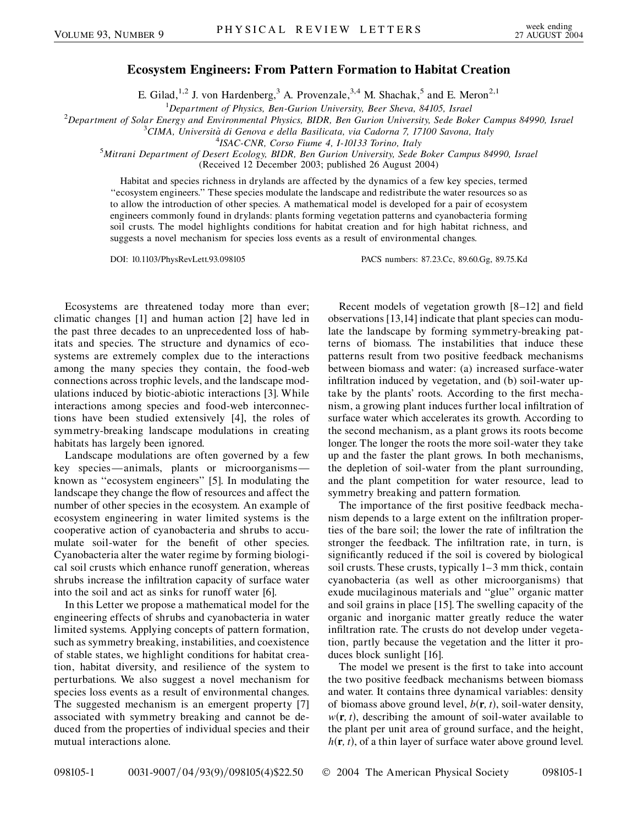## **Ecosystem Engineers: From Pattern Formation to Habitat Creation**

E. Gilad,<sup>1,2</sup> J. von Hardenberg,<sup>3</sup> A. Provenzale,<sup>3,4</sup> M. Shachak,<sup>5</sup> and E. Meron<sup>2,1</sup>

<sup>1</sup>Department of Physics, Ben-Gurion University, Beer Sheva, 84105, Israel <sup>1</sup>Department of Physics, Ben-Gurion University, Beer Sheva, 84105, Israel<br><sup>2</sup>Department of Solar Energy and Emvironmental Physics, BIDP, Ben Gurion University, Sede Bok

*Department of Solar Energy and Environmental Physics, BIDR, Ben Gurion University, Sede Boker Campus 84990, Israel* <sup>3</sup>

*CIMA, Universita` di Genova e della Basilicata, via Cadorna 7, 17100 Savona, Italy* <sup>4</sup>

*ISAC-CNR, Corso Fiume 4, I-10133 Torino, Italy* <sup>5</sup> *Mitrani Department of Desert Ecology, BIDR, Ben Gurion University, Sede Boker Campus 84990, Israel*

(Received 12 December 2003; published 26 August 2004)

Habitat and species richness in drylands are affected by the dynamics of a few key species, termed ''ecosystem engineers.'' These species modulate the landscape and redistribute the water resources so as to allow the introduction of other species. A mathematical model is developed for a pair of ecosystem engineers commonly found in drylands: plants forming vegetation patterns and cyanobacteria forming soil crusts. The model highlights conditions for habitat creation and for high habitat richness, and suggests a novel mechanism for species loss events as a result of environmental changes.

DOI: 10.1103/PhysRevLett.93.098105 PACS numbers: 87.23.Cc, 89.60.Gg, 89.75.Kd

Ecosystems are threatened today more than ever; climatic changes [1] and human action [2] have led in the past three decades to an unprecedented loss of habitats and species. The structure and dynamics of ecosystems are extremely complex due to the interactions among the many species they contain, the food-web connections across trophic levels, and the landscape modulations induced by biotic-abiotic interactions [3]. While interactions among species and food-web interconnections have been studied extensively [4], the roles of symmetry-breaking landscape modulations in creating habitats has largely been ignored.

Landscape modulations are often governed by a few key species—animals, plants or microorganisms known as ''ecosystem engineers'' [5]. In modulating the landscape they change the flow of resources and affect the number of other species in the ecosystem. An example of ecosystem engineering in water limited systems is the cooperative action of cyanobacteria and shrubs to accumulate soil-water for the benefit of other species. Cyanobacteria alter the water regime by forming biological soil crusts which enhance runoff generation, whereas shrubs increase the infiltration capacity of surface water into the soil and act as sinks for runoff water [6].

In this Letter we propose a mathematical model for the engineering effects of shrubs and cyanobacteria in water limited systems. Applying concepts of pattern formation, such as symmetry breaking, instabilities, and coexistence of stable states, we highlight conditions for habitat creation, habitat diversity, and resilience of the system to perturbations. We also suggest a novel mechanism for species loss events as a result of environmental changes. The suggested mechanism is an emergent property [7] associated with symmetry breaking and cannot be deduced from the properties of individual species and their mutual interactions alone.

Recent models of vegetation growth [8–12] and field observations [13,14] indicate that plant species can modulate the landscape by forming symmetry-breaking patterns of biomass. The instabilities that induce these patterns result from two positive feedback mechanisms between biomass and water: (a) increased surface-water infiltration induced by vegetation, and (b) soil-water uptake by the plants' roots. According to the first mechanism, a growing plant induces further local infiltration of surface water which accelerates its growth. According to the second mechanism, as a plant grows its roots become longer. The longer the roots the more soil-water they take up and the faster the plant grows. In both mechanisms, the depletion of soil-water from the plant surrounding, and the plant competition for water resource, lead to symmetry breaking and pattern formation.

The importance of the first positive feedback mechanism depends to a large extent on the infiltration properties of the bare soil; the lower the rate of infiltration the stronger the feedback. The infiltration rate, in turn, is significantly reduced if the soil is covered by biological soil crusts. These crusts, typically 1–3 mm thick, contain cyanobacteria (as well as other microorganisms) that exude mucilaginous materials and ''glue'' organic matter and soil grains in place [15]. The swelling capacity of the organic and inorganic matter greatly reduce the water infiltration rate. The crusts do not develop under vegetation, partly because the vegetation and the litter it produces block sunlight [16].

The model we present is the first to take into account the two positive feedback mechanisms between biomass and water. It contains three dynamical variables: density of biomass above ground level,  $b(\mathbf{r}, t)$ , soil-water density,  $w(\mathbf{r}, t)$ , describing the amount of soil-water available to the plant per unit area of ground surface, and the height,  $h(r, t)$ , of a thin layer of surface water above ground level.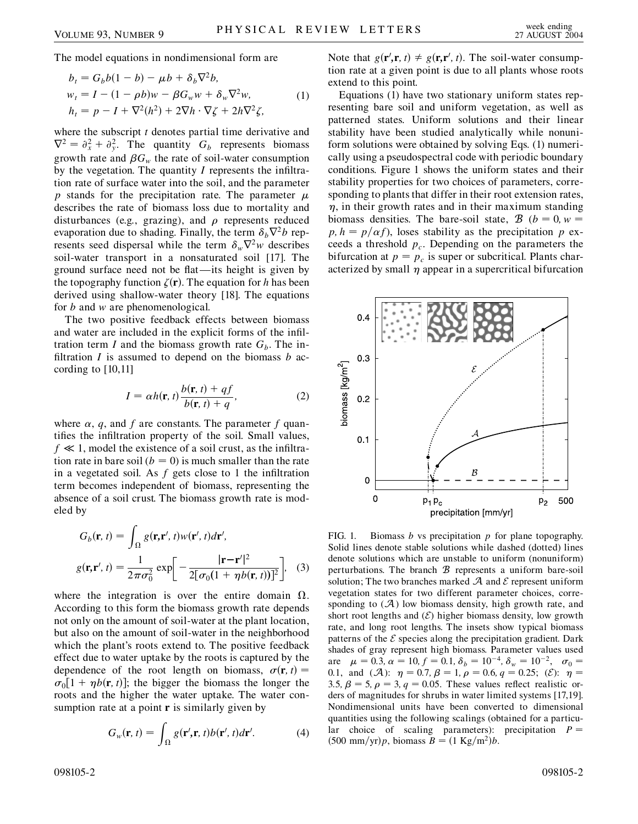The model equations in nondimensional form are

$$
b_t = G_b b(1 - b) - \mu b + \delta_b \nabla^2 b,
$$
  
\n
$$
w_t = I - (1 - \rho b)w - \beta G_w w + \delta_w \nabla^2 w,
$$
  
\n
$$
h_t = p - I + \nabla^2 (h^2) + 2 \nabla h \cdot \nabla \zeta + 2h \nabla^2 \zeta,
$$
\n(1)

where the subscript *t* denotes partial time derivative and  $\nabla^2 = \partial_x^2 + \partial_y^2$ . The quantity  $G_b$  represents biomass growth rate and  $\beta G_w$  the rate of soil-water consumption by the vegetation. The quantity *I* represents the infiltration rate of surface water into the soil, and the parameter p stands for the precipitation rate. The parameter  $\mu$ describes the rate of biomass loss due to mortality and disturbances (e.g., grazing), and  $\rho$  represents reduced evaporation due to shading. Finally, the term  $\delta_h \nabla^2 b$  represents seed dispersal while the term  $\delta_w \nabla^2 w$  describes soil-water transport in a nonsaturated soil [17]. The ground surface need not be flat —its height is given by the topography function  $\zeta(\mathbf{r})$ . The equation for *h* has been derived using shallow-water theory [18]. The equations for *b* and *w* are phenomenological.

The two positive feedback effects between biomass and water are included in the explicit forms of the infiltration term *I* and the biomass growth rate  $G_b$ . The infiltration *I* is assumed to depend on the biomass *b* according to [10,11]

$$
I = \alpha h(\mathbf{r}, t) \frac{b(\mathbf{r}, t) + qf}{b(\mathbf{r}, t) + q},
$$
 (2)

where  $\alpha$ , *q*, and *f* are constants. The parameter *f* quantifies the infiltration property of the soil. Small values,  $f \ll 1$ , model the existence of a soil crust, as the infiltration rate in bare soil  $(b = 0)$  is much smaller than the rate in a vegetated soil. As *f* gets close to 1 the infiltration term becomes independent of biomass, representing the absence of a soil crust. The biomass growth rate is modeled by

$$
G_b(\mathbf{r}, t) = \int_{\Omega} g(\mathbf{r}, \mathbf{r}', t) w(\mathbf{r}', t) d\mathbf{r}',
$$

$$
g(\mathbf{r}, \mathbf{r}', t) = \frac{1}{2\pi\sigma_0^2} \exp\left[-\frac{|\mathbf{r} - \mathbf{r}'|^2}{2[\sigma_0(1 + \eta b(\mathbf{r}, t))]^2}\right], \quad (3)
$$

where the integration is over the entire domain  $\Omega$ . According to this form the biomass growth rate depends not only on the amount of soil-water at the plant location, but also on the amount of soil-water in the neighborhood which the plant's roots extend to. The positive feedback effect due to water uptake by the roots is captured by the dependence of the root length on biomass,  $\sigma(\mathbf{r}, t)$  =  $\sigma_0[1 + \eta b(\mathbf{r}, t)]$ ; the bigger the biomass the longer the roots and the higher the water uptake. The water consumption rate at a point **r** is similarly given by

$$
G_w(\mathbf{r}, t) = \int_{\Omega} g(\mathbf{r}', \mathbf{r}, t) b(\mathbf{r}', t) d\mathbf{r}'. \tag{4}
$$

Note that  $g(\mathbf{r}', \mathbf{r}, t) \neq g(\mathbf{r}, \mathbf{r}', t)$ . The soil-water consumption rate at a given point is due to all plants whose roots extend to this point.

Equations (1) have two stationary uniform states representing bare soil and uniform vegetation, as well as patterned states. Uniform solutions and their linear stability have been studied analytically while nonuniform solutions were obtained by solving Eqs. (1) numerically using a pseudospectral code with periodic boundary conditions. Figure 1 shows the uniform states and their stability properties for two choices of parameters, corresponding to plants that differ in their root extension rates,  $\eta$ , in their growth rates and in their maximum standing biomass densities. The bare-soil state,  $B (b = 0, w = 0)$  $p, h = p/\alpha f$ , loses stability as the precipitation *p* exceeds a threshold  $p_c$ . Depending on the parameters the bifurcation at  $p = p_c$  is super or subcritical. Plants characterized by small  $\eta$  appear in a supercritical bifurcation



FIG. 1. Biomass *b* vs precipitation *p* for plane topography. Solid lines denote stable solutions while dashed (dotted) lines denote solutions which are unstable to uniform (nonuniform) perturbations. The branch  $\mathcal B$  represents a uniform bare-soil solution; The two branches marked  $A$  and  $E$  represent uniform vegetation states for two different parameter choices, corresponding to  $(\mathcal{A})$  low biomass density, high growth rate, and short root lengths and  $(\mathcal{E})$  higher biomass density, low growth rate, and long root lengths. The insets show typical biomass patterns of the  $\mathcal E$  species along the precipitation gradient. Dark shades of gray represent high biomass. Parameter values used are  $\mu = 0.3, \alpha = 10, f = 0.1, \delta_b = 10^{-4}, \delta_w = 10^{-2}, \sigma_0 =$ 0.1, and  $(A)$ :  $\eta = 0.7, \beta = 1, \rho = 0.6, q = 0.25;$  (E):  $\eta =$ 3.5,  $\beta = 5$ ,  $\rho = 3$ ,  $q = 0.05$ . These values reflect realistic orders of magnitudes for shrubs in water limited systems [17,19]. Nondimensional units have been converted to dimensional quantities using the following scalings (obtained for a particular choice of scaling parameters): precipitation *P*  $(500 \text{ mm/yr})p$ , biomass  $B = (1 \text{ Kg/m}^2)b$ .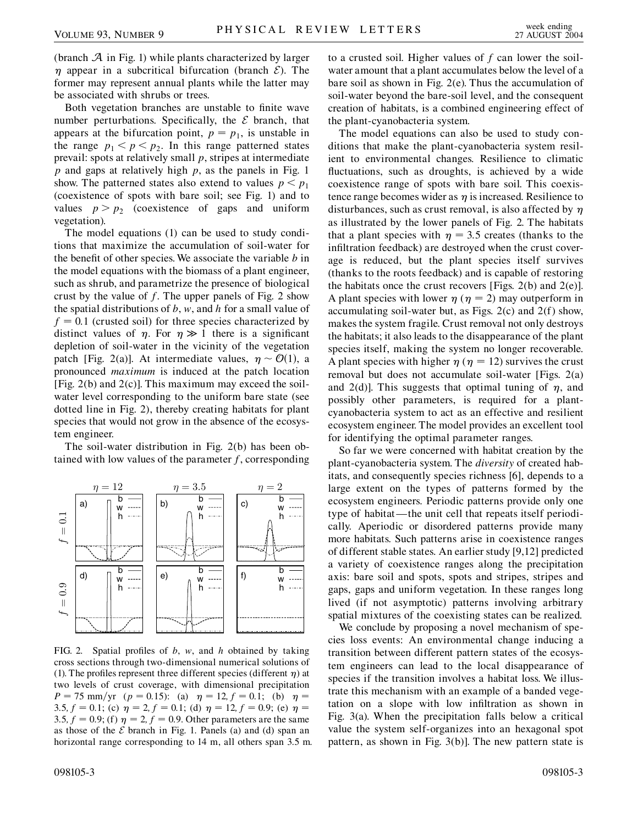(branch  $A$  in Fig. 1) while plants characterized by larger  $\eta$  appear in a subcritical bifurcation (branch  $\mathcal{E}$ ). The former may represent annual plants while the latter may be associated with shrubs or trees.

Both vegetation branches are unstable to finite wave number perturbations. Specifically, the  $\mathcal E$  branch, that appears at the bifurcation point,  $p = p_1$ , is unstable in the range  $p_1 < p < p_2$ . In this range patterned states prevail: spots at relatively small *p*, stripes at intermediate *p* and gaps at relatively high *p*, as the panels in Fig. 1 show. The patterned states also extend to values  $p < p_1$ (coexistence of spots with bare soil; see Fig. 1) and to values  $p > p_2$  (coexistence of gaps and uniform vegetation).

The model equations (1) can be used to study conditions that maximize the accumulation of soil-water for the benefit of other species. We associate the variable *b* in the model equations with the biomass of a plant engineer, such as shrub, and parametrize the presence of biological crust by the value of *f*. The upper panels of Fig. 2 show the spatial distributions of *b*, *w*, and *h* for a small value of  $f = 0.1$  (crusted soil) for three species characterized by distinct values of  $\eta$ . For  $\eta \gg 1$  there is a significant depletion of soil-water in the vicinity of the vegetation patch [Fig. 2(a)]. At intermediate values,  $\eta \sim \mathcal{O}(1)$ , a pronounced *maximum* is induced at the patch location [Fig.  $2(b)$  and  $2(c)$ ]. This maximum may exceed the soilwater level corresponding to the uniform bare state (see dotted line in Fig. 2), thereby creating habitats for plant species that would not grow in the absence of the ecosystem engineer.

The soil-water distribution in Fig. 2(b) has been obtained with low values of the parameter *f*, corresponding



FIG. 2. Spatial profiles of *b*, *w*, and *h* obtained by taking cross sections through two-dimensional numerical solutions of (1). The profiles represent three different species (different  $\eta$ ) at two levels of crust coverage, with dimensional precipitation  $P = 75$  mm/yr ( $p = 0.15$ ): (a)  $\eta = 12, f = 0.1$ ; (b)  $\eta =$ 3.5,  $f = 0.1$ ; (c)  $\eta = 2$ ,  $f = 0.1$ ; (d)  $\eta = 12$ ,  $f = 0.9$ ; (e)  $\eta =$ 3.5,  $f = 0.9$ ; (f)  $\eta = 2$ ,  $f = 0.9$ . Other parameters are the same as those of the  $\mathcal E$  branch in Fig. 1. Panels (a) and (d) span an horizontal range corresponding to 14 m, all others span 3.5 m.

to a crusted soil. Higher values of *f* can lower the soilwater amount that a plant accumulates below the level of a bare soil as shown in Fig. 2(e). Thus the accumulation of soil-water beyond the bare-soil level, and the consequent creation of habitats, is a combined engineering effect of the plant-cyanobacteria system.

The model equations can also be used to study conditions that make the plant-cyanobacteria system resilient to environmental changes. Resilience to climatic fluctuations, such as droughts, is achieved by a wide coexistence range of spots with bare soil. This coexistence range becomes wider as  $\eta$  is increased. Resilience to disturbances, such as crust removal, is also affected by  $\eta$ as illustrated by the lower panels of Fig. 2. The habitats that a plant species with  $\eta = 3.5$  creates (thanks to the infiltration feedback) are destroyed when the crust coverage is reduced, but the plant species itself survives (thanks to the roots feedback) and is capable of restoring the habitats once the crust recovers [Figs.  $2(b)$  and  $2(e)$ ]. A plant species with lower  $\eta$  ( $\eta$  = 2) may outperform in accumulating soil-water but, as Figs. 2(c) and 2(f) show, makes the system fragile. Crust removal not only destroys the habitats; it also leads to the disappearance of the plant species itself, making the system no longer recoverable. A plant species with higher  $\eta$  ( $\eta$  = 12) survives the crust removal but does not accumulate soil-water [Figs. 2(a) and 2(d)]. This suggests that optimal tuning of  $\eta$ , and possibly other parameters, is required for a plantcyanobacteria system to act as an effective and resilient ecosystem engineer. The model provides an excellent tool for identifying the optimal parameter ranges.

So far we were concerned with habitat creation by the plant-cyanobacteria system. The *diversity* of created habitats, and consequently species richness [6], depends to a large extent on the types of patterns formed by the ecosystem engineers. Periodic patterns provide only one type of habitat —the unit cell that repeats itself periodically. Aperiodic or disordered patterns provide many more habitats. Such patterns arise in coexistence ranges of different stable states. An earlier study [9,12] predicted a variety of coexistence ranges along the precipitation axis: bare soil and spots, spots and stripes, stripes and gaps, gaps and uniform vegetation. In these ranges long lived (if not asymptotic) patterns involving arbitrary spatial mixtures of the coexisting states can be realized.

We conclude by proposing a novel mechanism of species loss events: An environmental change inducing a transition between different pattern states of the ecosystem engineers can lead to the local disappearance of species if the transition involves a habitat loss. We illustrate this mechanism with an example of a banded vegetation on a slope with low infiltration as shown in Fig. 3(a). When the precipitation falls below a critical value the system self-organizes into an hexagonal spot pattern, as shown in Fig. 3(b)]. The new pattern state is